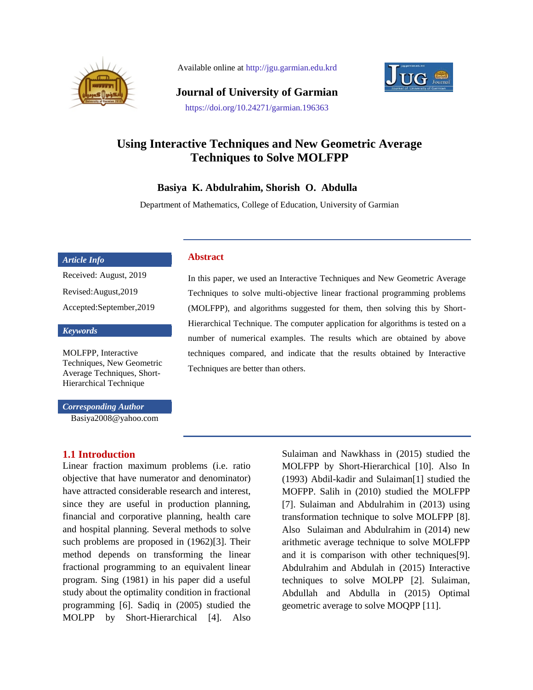

Available online at http://jgu.garmian.edu.krd



**Journal of University of Garmian** https://doi.org/10.24271/garmian.196363

# **Using Interactive Techniques and New Geometric Average Techniques to Solve MOLFPP**

### **Basiya K. Abdulrahim, Shorish O. Abdulla**

**Abstract**

Department of Mathematics, College of Education, University of Garmian

#### *Article Info*

Received: August, 2019 Revised:August,2019 Accepted:September,2019

#### *Keywords*

MOLFPP, Interactive Techniques, New Geometric Average Techniques, Short-Hierarchical Technique

*Corresponding Author* Basiya2008@yahoo.com

#### **1.1 Introduction**

Linear fraction maximum problems (i.e. ratio objective that have numerator and denominator) have attracted considerable research and interest, since they are useful in production planning, financial and corporative planning, health care and hospital planning. Several methods to solve such problems are proposed in (1962)[3]. Their method depends on transforming the linear fractional programming to an equivalent linear program. Sing (1981) in his paper did a useful study about the optimality condition in fractional programming [6]. Sadiq in (2005) studied the MOLPP by Short-Hierarchical [4]. Also

In this paper, we used an Interactive Techniques and New Geometric Average Techniques to solve multi-objective linear fractional programming problems (MOLFPP), and algorithms suggested for them, then solving this by Short-Hierarchical Technique. The computer application for algorithms is tested on a number of numerical examples. The results which are obtained by above techniques compared, and indicate that the results obtained by Interactive Techniques are better than others.

> Sulaiman and Nawkhass in (2015) studied the MOLFPP by Short-Hierarchical [10]. Also In (1993) Abdil-kadir and Sulaiman[1] studied the MOFPP. Salih in (2010) studied the MOLFPP [7]. Sulaiman and Abdulrahim in (2013) using transformation technique to solve MOLFPP [8]. Also Sulaiman and Abdulrahim in (2014) new arithmetic average technique to solve MOLFPP and it is comparison with other techniques[9]. Abdulrahim and Abdulah in (2015) Interactive techniques to solve MOLPP [2]. Sulaiman, Abdullah and Abdulla in (2015) Optimal geometric average to solve MOQPP [11].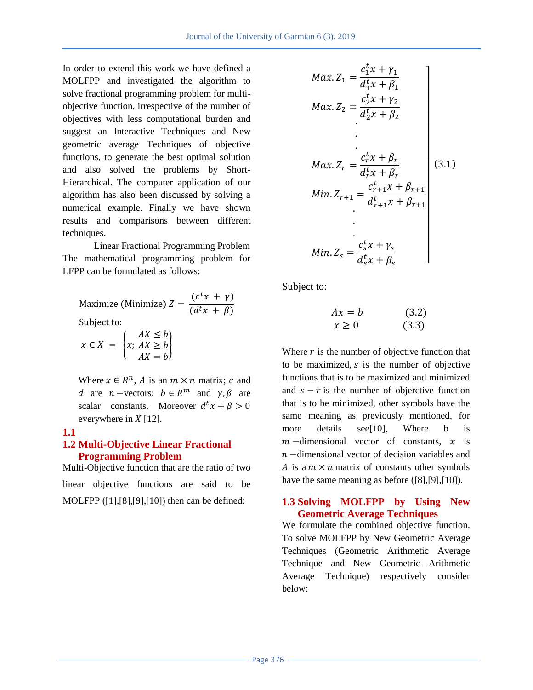In order to extend this work we have defined a MOLFPP and investigated the algorithm to solve fractional programming problem for multiobjective function, irrespective of the number of objectives with less computational burden and suggest an Interactive Techniques and New geometric average Techniques of objective functions, to generate the best optimal solution and also solved the problems by Short-Hierarchical. The computer application of our algorithm has also been discussed by solving a numerical example. Finally we have shown results and comparisons between different techniques.

Linear Fractional Programming Problem The mathematical programming problem for LFPP can be formulated as follows:

Maximize (Minimize) 
$$
Z = \frac{(c^t x + \gamma)}{(d^t x + \beta)}
$$

Subject to:

$$
x \in X = \begin{cases} AX \le b \\ x; AX \ge b \\ AX = b \end{cases}
$$

Where  $x \in R^n$ , A is an  $m \times n$  matrix; c and d are *n* –vectors;  $b \in R^m$  and  $\gamma, \beta$  are scalar constants. Moreover  $d<sup>t</sup>$ everywhere in  $X$  [12].

## **1.1**

### **1.2 Multi-Objective Linear Fractional Programming Problem**

Multi-Objective function that are the ratio of two linear objective functions are said to be MOLFPP ([1],[8],[9],[10]) then can be defined:

$$
Max. Z_1 = \frac{c_1^t x + \gamma_1}{d_1^t x + \beta_1}
$$
  
\n
$$
Max. Z_2 = \frac{c_2^t x + \gamma_2}{d_2^t x + \beta_2}
$$
  
\n
$$
Max. Z_r = \frac{c_r^t x + \beta_r}{d_r^t x + \beta_r}
$$
  
\n
$$
Min. Z_{r+1} = \frac{c_{r+1}^t x + \beta_{r+1}}{d_{r+1}^t x + \beta_{r+1}}
$$
  
\n
$$
Min. Z_s = \frac{c_s^t x + \gamma_s}{d_s^t x + \beta_s}
$$
  
\n
$$
Min. Z_s = \frac{c_s^t x + \gamma_s}{d_s^t x + \beta_s}
$$

Subject to:

$$
Ax = b \qquad (3.2)
$$
  

$$
x \ge 0 \qquad (3.3)
$$

Where  $r$  is the number of objective function that to be maximized,  $s$  is the number of objective functions that is to be maximized and minimized and  $s - r$  is the number of objerctive function that is to be minimized, other symbols have the same meaning as previously mentioned, for more details see[10], Where b is  $m$  -dimensional vector of constants,  $x$  is  $n$  -dimensional vector of decision variables and A is a  $m \times n$  matrix of constants other symbols have the same meaning as before ([8],[9],[10]).

### **1.3 Solving MOLFPP by Using New Geometric Average Techniques**

We formulate the combined objective function. To solve MOLFPP by New Geometric Average Techniques (Geometric Arithmetic Average Technique and New Geometric Arithmetic Average Technique) respectively consider below: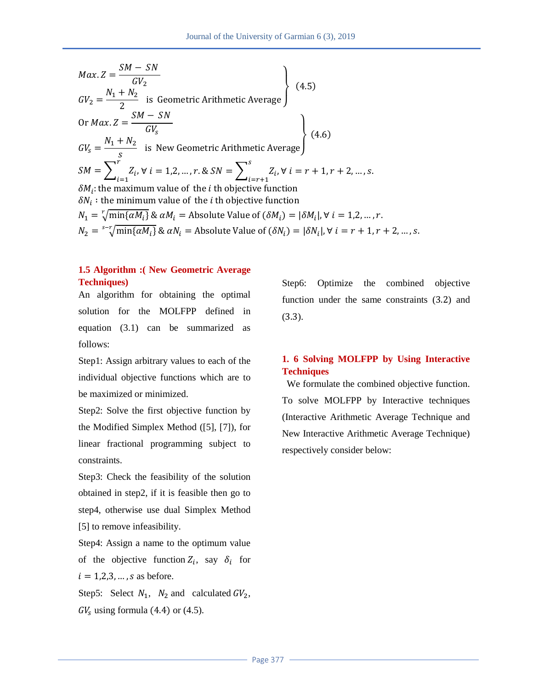$$
Max.Z = \frac{SM - SN}{GV_2}
$$
  
\n
$$
GV_2 = \frac{N_1 + N_2}{2}
$$
 is Geometric Arithmetic Average)  
\nOr Max.Z =  $\frac{SM - SN}{GV_s}$   
\n
$$
GV_s = \frac{N_1 + N_2}{s}
$$
 is New Geometric Arithmetic Average)  
\n
$$
SM = \sum_{i=1}^{r} Z_i
$$
,  $\forall i = 1, 2, ..., r$ . &  $SN = \sum_{i=r+1}^{s} Z_i$ ,  $\forall i = r + 1, r + 2, ..., s$ .  
\n
$$
\delta M_i
$$
: the maximum value of the *i* th objective function  
\n
$$
\delta N_i
$$
: the minimum value of the *i* th objective function  
\n
$$
N_1 = \sqrt{min{\{\alpha M_i\}} \& \alpha N_i} =
$$
 Absolute Value of  $(\delta M_i) = |\delta M_i|, \forall i = 1, 2, ..., r$ .  
\n
$$
N_2 = \sqrt[s]{min{\{\alpha M_i\}} \& \alpha N_i} =
$$
 Absolute Value of  $(\delta N_i) = |\delta N_i|, \forall i = r + 1, r + 2, ...$ 

### **1.5 Algorithm :( New Geometric Average Techniques)**

An algorithm for obtaining the optimal solution for the MOLFPP defined in equation (3.1) can be summarized as follows:

Step1: Assign arbitrary values to each of the individual objective functions which are to be maximized or minimized.

Step2: Solve the first objective function by the Modified Simplex Method ([5], [7]), for linear fractional programming subject to constraints.

Step3: Check the feasibility of the solution obtained in step2, if it is feasible then go to step4, otherwise use dual Simplex Method [5] to remove infeasibility.

Step4: Assign a name to the optimum value of the objective function  $Z_i$ , say  $\delta_i$  for  $i = 1,2,3,...$ , s as before.

Step5: Select  $N_1$ ,  $N_2$  and calculated  $GV_2$ ,  $GV<sub>s</sub>$  using formula (4.4) or (4.5).

Step6: Optimize the combined objective function under the same constraints  $(3.2)$  and  $(3.3).$ 

, S.

## **1. 6 Solving MOLFPP by Using Interactive Techniques**

 We formulate the combined objective function. To solve MOLFPP by Interactive techniques (Interactive Arithmetic Average Technique and New Interactive Arithmetic Average Technique) respectively consider below: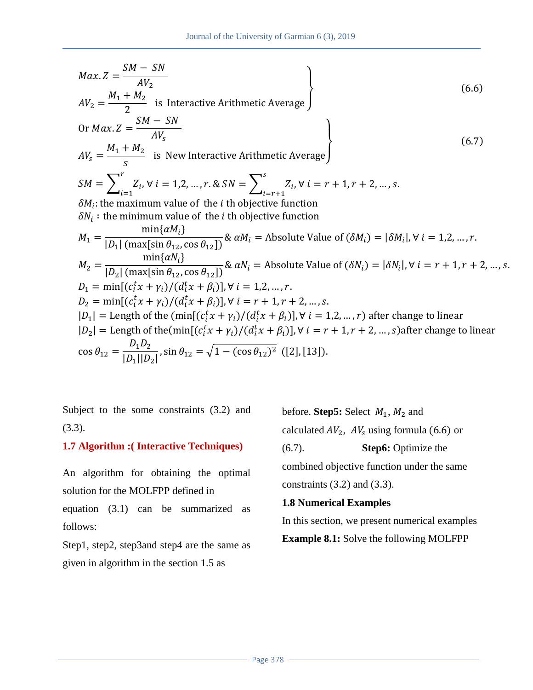$$
Max. Z = \frac{SM - SN}{AV_2}
$$
\n
$$
AV_2 = \frac{M_1 + M_2}{2}
$$
 is Interactive Arithmetic Average)  
\nOr  $Max. Z = \frac{SM - SN}{AV_s}$   
\n
$$
AV_s = \frac{M_1 + M_2}{s}
$$
 is New Interactive Arithmetic Average)  
\n
$$
SM = \sum_{i=1}^{r} Z_i, \forall i = 1, 2, ..., r. \& SN = \sum_{i=r+1}^{s} Z_i, \forall i = r+1, r+2, ..., s.
$$
\n
$$
\delta M_i
$$
: the maximum value of the *i* th objective function  
\n
$$
\delta N_i
$$
: the minimum value of the *i* th objective function  
\n
$$
M_1 = \frac{\min\{\alpha M_i\}}{|D_1| \left(\max[\sin \theta_{12}, \cos \theta_{12}]\right)} \& \alpha M_i = \text{Absolute Value of } (\delta M_i) = |\delta M_i|, \forall i = 1, 2, ..., r.
$$
\n
$$
M_2 = \frac{\min\{\alpha N_i\}}{|D_2| \left(\max[\sin \theta_{12}, \cos \theta_{12}]\right)} \& \alpha N_i = \text{Absolute Value of } (\delta N_i) = |\delta N_i|, \forall i = r+1, r+2, ..., s.
$$
\n
$$
D_1 = \min\{ (c_i^t x + \gamma_i) / (d_i^t x + \beta_i) \}, \forall i = 1, 2, ..., r.
$$
\n
$$
D_2 = \min\{ (c_i^t x + \gamma_i) / (d_i^t x + \beta_i) \}, \forall i = r+1, r+2, ..., s.
$$
\n
$$
|D_1| = \text{Length of the } (\min\{ (c_i^t x + \gamma_i) / (d_i^t x + \beta_i) \}, \forall i = 1, 2, ..., r \text{ after change to linear}
$$
\n
$$
|D_2| = \text{Length of the } (\min\{ (c_i^t x + \gamma_i) / (d_i^t x + \beta_i) \}, \forall i = r+1, r+2, ..., s \text{ and } s \text{ after change to linear}
$$
\n
$$
\cos \theta_{12} = \frac{D_1 D_2}{|D_1||D_2|}, \sin \theta_{12} = \sqrt{1 - (\cos \theta_{12})^2} \quad (\text{[13]}).
$$

Subject to the some constraints (3.2) and (3.3).

### **1.7 Algorithm :( Interactive Techniques)**

An algorithm for obtaining the optimal solution for the MOLFPP defined in

equation (3.1) can be summarized as follows:

Step1, step2, step3and step4 are the same as given in algorithm in the section 1.5 as

before. **Step5:** Select  $M_1$ ,  $M_2$  and calculated  $AV_2$ ,  $AV_s$  using formula (6.6) or (6.7). **Step6:** Optimize the combined objective function under the same constraints  $(3.2)$  and  $(3.3)$ .

### **1.8 Numerical Examples**

In this section, we present numerical examples

**Example 8.1:** Solve the following MOLFPP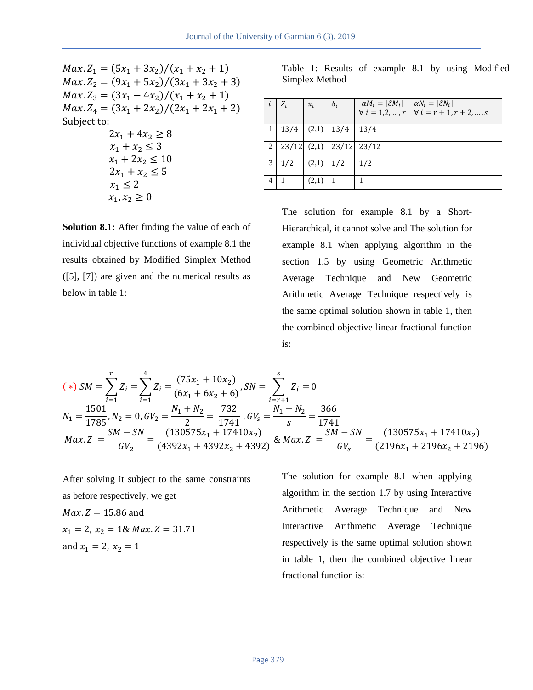$Max.Z_1 = (5x_1 + 3x_2) / ($  $Max.Z_2 = (9x_1 + 5x_2) / ($  $Max.Z_3 = (3x_1 - 4x_2)/(x_1 + x_2 + 1)$  $Max.Z_4 = (3x_1 + 2x_2)/(2x_1 + 2x_1 + 2)$ Subject to:  $2x_1 + 4x_2 \ge 8$  $x_1 + x_2 \leq 3$  $x_1 + 2x_2 \le 10$  $2x_1 + x_2 \leq 5$ 

> $x_1 \leq 2$  $x_1, x_2 \geq 0$

**Solution 8.1:** After finding the value of each of individual objective functions of example 8.1 the results obtained by Modified Simplex Method ([5], [7]) are given and the numerical results as below in table 1:

Table 1: Results of example 8.1 by using Modified Simplex Method

|                | $Z_i$           | $x_i$ | $\delta_i$ | $\alpha M_i =  \delta M_i $<br>$\forall i = 1, 2, , r$ | $\alpha N_i =  \delta N_i $<br>$\forall i = r + 1, r + 2, , s$ |
|----------------|-----------------|-------|------------|--------------------------------------------------------|----------------------------------------------------------------|
|                | 13/4            | (2,1) | 13/4       | 13/4                                                   |                                                                |
| 2              | $23/12$ $(2,1)$ |       |            | $23/12$ $23/12$                                        |                                                                |
| 3              | 1/2             | (2,1) | 1/2        | 1/2                                                    |                                                                |
| $\overline{4}$ |                 | (2,1) |            |                                                        |                                                                |

The solution for example 8.1 by a Short-Hierarchical, it cannot solve and The solution for example 8.1 when applying algorithm in the section 1.5 by using Geometric Arithmetic Average Technique and New Geometric Arithmetic Average Technique respectively is the same optimal solution shown in table 1, then the combined objective linear fractional function is:

$$
(*)\,SM = \sum_{i=1}^{r} Z_i = \sum_{i=1}^{4} Z_i = \frac{(75x_1 + 10x_2)}{(6x_1 + 6x_2 + 6)}, \, SN = \sum_{i=r+1}^{5} Z_i = 0
$$
\n
$$
N_1 = \frac{1501}{1785}, N_2 = 0, GV_2 = \frac{N_1 + N_2}{2} = \frac{732}{1741}, \, GV_s = \frac{N_1 + N_2}{s} = \frac{366}{1741}
$$
\n
$$
Max. Z = \frac{SM - SN}{GV_2} = \frac{(130575x_1 + 17410x_2)}{(4392x_1 + 4392x_2 + 4392)} \&\, Max. Z = \frac{SM - SN}{GV_s} = \frac{(130575x_1 + 17410x_2)}{(2196x_1 + 2196x_2 + 2196)}
$$

After solving it subject to the same constraints as before respectively, we get  $Max.Z = 15.86$  and  $x_1 = 2$ ,  $x_2 = 1$ & Max. Z = 31.71 and  $x_1 = 2$ ,  $x_2 = 1$ 

The solution for example 8.1 when applying algorithm in the section 1.7 by using Interactive Arithmetic Average Technique and New Interactive Arithmetic Average Technique respectively is the same optimal solution shown in table 1, then the combined objective linear fractional function is: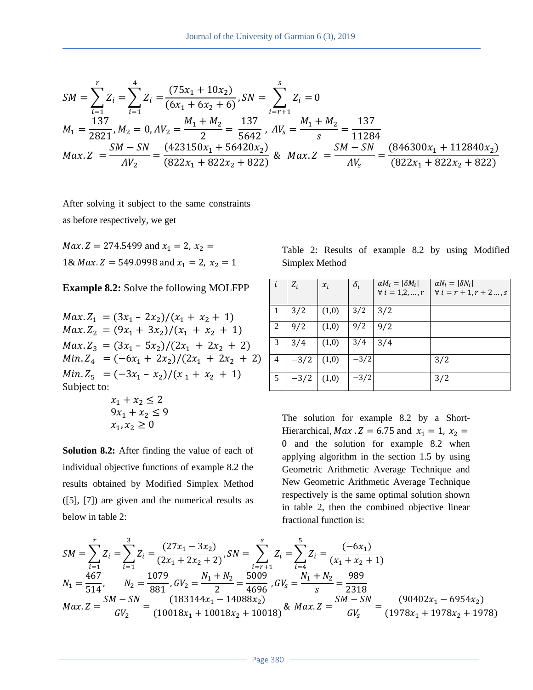$$
SM = \sum_{i=1}^{r} Z_i = \sum_{i=1}^{4} Z_i = \frac{(75x_1 + 10x_2)}{(6x_1 + 6x_2 + 6)}, SN = \sum_{i=r+1}^{5} Z_i = 0
$$
  
\n
$$
M_1 = \frac{137}{2821}, M_2 = 0, AV_2 = \frac{M_1 + M_2}{2} = \frac{137}{5642}, AV_s = \frac{M_1 + M_2}{s} = \frac{137}{11284}
$$
  
\n
$$
Max.Z = \frac{SM - SN}{AV_2} = \frac{(423150x_1 + 56420x_2)}{(822x_1 + 822x_2 + 822)} \& Max.Z = \frac{SM - SN}{AV_s} = \frac{(846300x_1 + 112840x_2)}{(822x_1 + 822x_2 + 822)}
$$

After solving it subject to the same constraints as before respectively, we get

*Max. Z* = 274.5499 and  $x_1$  = 2,  $x_2$  = 1& *Max*.  $Z = 549.0998$  and  $x_1 = 2$ ,  $x_2 = 1$ 

#### **Example 8.2:** Solve the following MOLFPP

 $Max.Z_1 = (3x_1 - 2x_2)/(x_1 + x_2 + 1)$  $Max.Z_2 = (9x_1 + 3x_2)/(x_1 + x_2 + 1)$  $Max.Z_3 = (3x_1 - 5x_2)/(2x_1 + 2x_2 + 2)$  $Min.Z_4 = (-6x_1 + 2x_2)/(2x_1 + 2x_2 + 2)$  $Min.Z_5 = (-3x_1 - x_2)/(x_1 + x_2 + 1)$ Subject to:  $x_1 + x_2 \leq 2$  $9x_1 + x_2 \leq 9$ 

**Solution 8.2:** After finding the value of each of individual objective functions of example 8.2 the results obtained by Modified Simplex Method ([5], [7]) are given and the numerical results as below in table 2:

 $x_1, x_2 \geq 0$ 

Table 2: Results of example 8.2 by using Modified Simplex Method

| i              | $Z_i$  | $x_i$ | $\delta_i$ | $\alpha M_i =  \delta M_i $<br>$\forall i = 1, 2, , r$ | $\alpha N_i =  \delta N_i $<br>$\forall i = r + 1, r + 2 , s$ |
|----------------|--------|-------|------------|--------------------------------------------------------|---------------------------------------------------------------|
|                | 3/2    | (1,0) | 3/2        | 3/2                                                    |                                                               |
| 2              | 9/2    | (1,0) | 9/2        | 9/2                                                    |                                                               |
| 3              | 3/4    | (1,0) | 3/4        | 3/4                                                    |                                                               |
| $\overline{4}$ | $-3/2$ | (1,0) | $-3/2$     |                                                        | 3/2                                                           |
| 5              | $-3/2$ | (1,0) | $-3/2$     |                                                        | 3/2                                                           |

The solution for example 8.2 by a Short-Hierarchical, *Max* .  $Z = 6.75$  and  $x_1 = 1$ ,  $x_2 =$ 0 and the solution for example 8.2 when applying algorithm in the section 1.5 by using Geometric Arithmetic Average Technique and New Geometric Arithmetic Average Technique respectively is the same optimal solution shown in table 2, then the combined objective linear fractional function is:

$$
SM = \sum_{i=1}^{r} Z_i = \sum_{i=1}^{3} Z_i = \frac{(27x_1 - 3x_2)}{(2x_1 + 2x_2 + 2)}, SN = \sum_{i=r+1}^{5} Z_i = \sum_{i=4}^{5} Z_i = \frac{(-6x_1)}{(x_1 + x_2 + 1)}
$$
  
\n
$$
N_1 = \frac{467}{514}, \qquad N_2 = \frac{1079}{881}, GV_2 = \frac{N_1 + N_2}{2} = \frac{5009}{4696}, GV_s = \frac{N_1 + N_2}{s} = \frac{989}{2318}
$$
  
\n
$$
Max.Z = \frac{SM - SN}{GV_2} = \frac{(183144x_1 - 14088x_2)}{(10018x_1 + 10018x_2 + 10018)} \& Max.Z = \frac{SM - SN}{GV_s} = \frac{(90402x_1 - 6954x_2)}{(1978x_1 + 1978x_2 + 1978)}
$$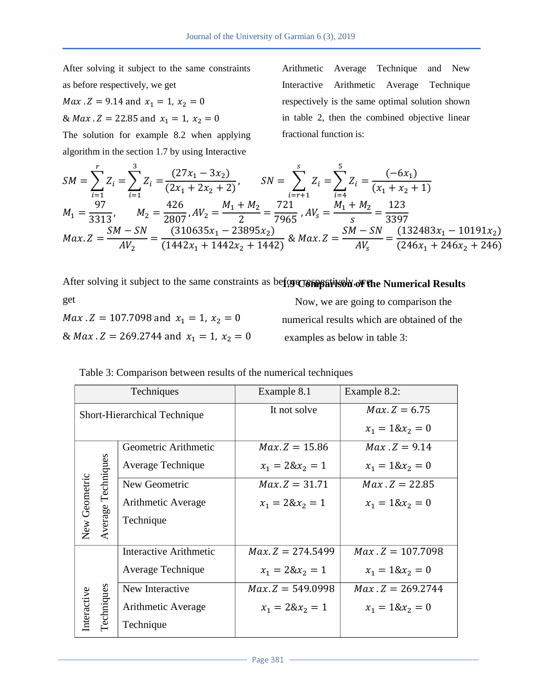After solving it subject to the same constraints as before respectively, we get

*Max* .  $Z = 9.14$  and  $x_1 = 1$ ,  $x_2 = 0$ 

& *Max* .  $Z = 22.85$  and  $x_1 = 1$ ,  $x_2 = 0$ 

The solution for example 8.2 when applying algorithm in the section 1.7 by using Interactive

Arithmetic Average Technique and New Interactive Arithmetic Average Technique respectively is the same optimal solution shown in table 2, then the combined objective linear fractional function is:

$$
SM = \sum_{i=1}^{r} Z_i = \sum_{i=1}^{3} Z_i = \frac{(27x_1 - 3x_2)}{(2x_1 + 2x_2 + 2)}, \qquad SN = \sum_{i=r+1}^{s} Z_i = \sum_{i=4}^{5} Z_i = \frac{(-6x_1)}{(x_1 + x_2 + 1)}
$$
  
\n
$$
M_1 = \frac{97}{3313}, \qquad M_2 = \frac{426}{2807}, \qquad AV_2 = \frac{M_1 + M_2}{2} = \frac{721}{7965}, \qquad AV_s = \frac{M_1 + M_2}{s} = \frac{123}{3397}
$$
  
\n
$$
Max. Z = \frac{SM - SN}{AV_2} = \frac{(310635x_1 - 23895x_2)}{(1442x_1 + 1442x_2 + 1442)} \& Max. Z = \frac{SM - SN}{AV_s} = \frac{(132483x_1 - 10191x_2)}{(246x_1 + 246x_2 + 246)}
$$

After solving it subject to the same constraints as before of the solviethe Numerical Results

get *Max*  $Z = 107.7098$  and  $x_1 = 1$ ,  $x_2 = 0$ & *Max* .  $Z = 269.2744$  and  $x_1 = 1$ ,  $x_2 = 0$ 

 Now, we are going to comparison the numerical results which are obtained of the examples as below in table 3:

| Techniques                          |                    |                               | Example 8.1        | Example 8.2:       |
|-------------------------------------|--------------------|-------------------------------|--------------------|--------------------|
| <b>Short-Hierarchical Technique</b> |                    |                               | It not solve       | $Max.Z = 6.75$     |
|                                     |                    |                               |                    | $x_1 = 18x_2 = 0$  |
|                                     | Average Techniques | Geometric Arithmetic          | $Max.Z = 15.86$    | $Max.Z = 9.14$     |
|                                     |                    | Average Technique             | $x_1 = 28x_2 = 1$  | $x_1 = 18x_2 = 0$  |
|                                     |                    | New Geometric                 | $Max.Z = 31.71$    | $Max.Z = 22.85$    |
|                                     |                    | Arithmetic Average            | $x_1 = 28x_2 = 1$  | $x_1 = 18x_2 = 0$  |
| New Geometric                       |                    | Technique                     |                    |                    |
|                                     | <b>Techniques</b>  | <b>Interactive Arithmetic</b> | $Max.Z = 274.5499$ | $Max Z = 107.7098$ |
|                                     |                    | Average Technique             | $x_1 = 28x_2 = 1$  | $x_1 = 18x_2 = 0$  |
|                                     |                    | New Interactive               | $Max.Z = 549.0998$ | $Max.Z = 269.2744$ |
| Interactive                         |                    | Arithmetic Average            | $x_1 = 28x_2 = 1$  | $x_1 = 18x_2 = 0$  |
|                                     |                    | Technique                     |                    |                    |

Table 3: Comparison between results of the numerical techniques